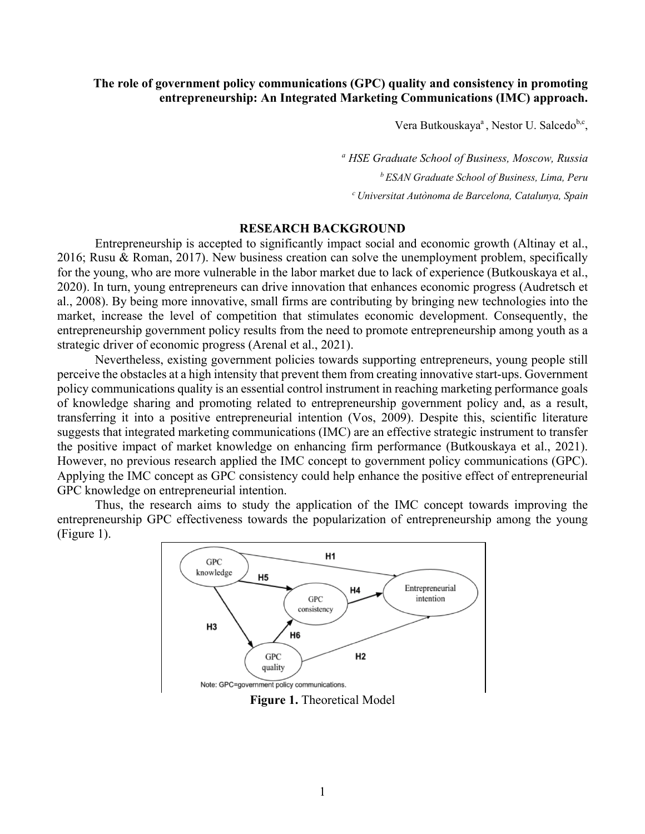# **The role of government policy communications (GPC) quality and consistency in promoting entrepreneurship: An Integrated Marketing Communications (IMC) approach.**

Vera Butkouskaya<sup>a</sup>, Nestor U. Salcedo<sup>b,c</sup>,

*<sup>a</sup> HSE Graduate School of Business, Moscow, Russia b ESAN Graduate School of Business, Lima, Peru <sup>c</sup> Universitat Autònoma de Barcelona, Catalunya, Spain*

## **RESEARCH BACKGROUND**

Entrepreneurship is accepted to significantly impact social and economic growth (Altinay et al., 2016; Rusu & Roman, 2017). New business creation can solve the unemployment problem, specifically for the young, who are more vulnerable in the labor market due to lack of experience (Butkouskaya et al., 2020). In turn, young entrepreneurs can drive innovation that enhances economic progress (Audretsch et al., 2008). By being more innovative, small firms are contributing by bringing new technologies into the market, increase the level of competition that stimulates economic development. Consequently, the entrepreneurship government policy results from the need to promote entrepreneurship among youth as a strategic driver of economic progress (Arenal et al., 2021).

Nevertheless, existing government policies towards supporting entrepreneurs, young people still perceive the obstacles at a high intensity that prevent them from creating innovative start-ups. Government policy communications quality is an essential control instrument in reaching marketing performance goals of knowledge sharing and promoting related to entrepreneurship government policy and, as a result, transferring it into a positive entrepreneurial intention (Vos, 2009). Despite this, scientific literature suggests that integrated marketing communications (IMC) are an effective strategic instrument to transfer the positive impact of market knowledge on enhancing firm performance (Butkouskaya et al., 2021). However, no previous research applied the IMC concept to government policy communications (GPC). Applying the IMC concept as GPC consistency could help enhance the positive effect of entrepreneurial GPC knowledge on entrepreneurial intention.

Thus, the research aims to study the application of the IMC concept towards improving the entrepreneurship GPC effectiveness towards the popularization of entrepreneurship among the young (Figure 1).



**Figure 1.** Theoretical Model